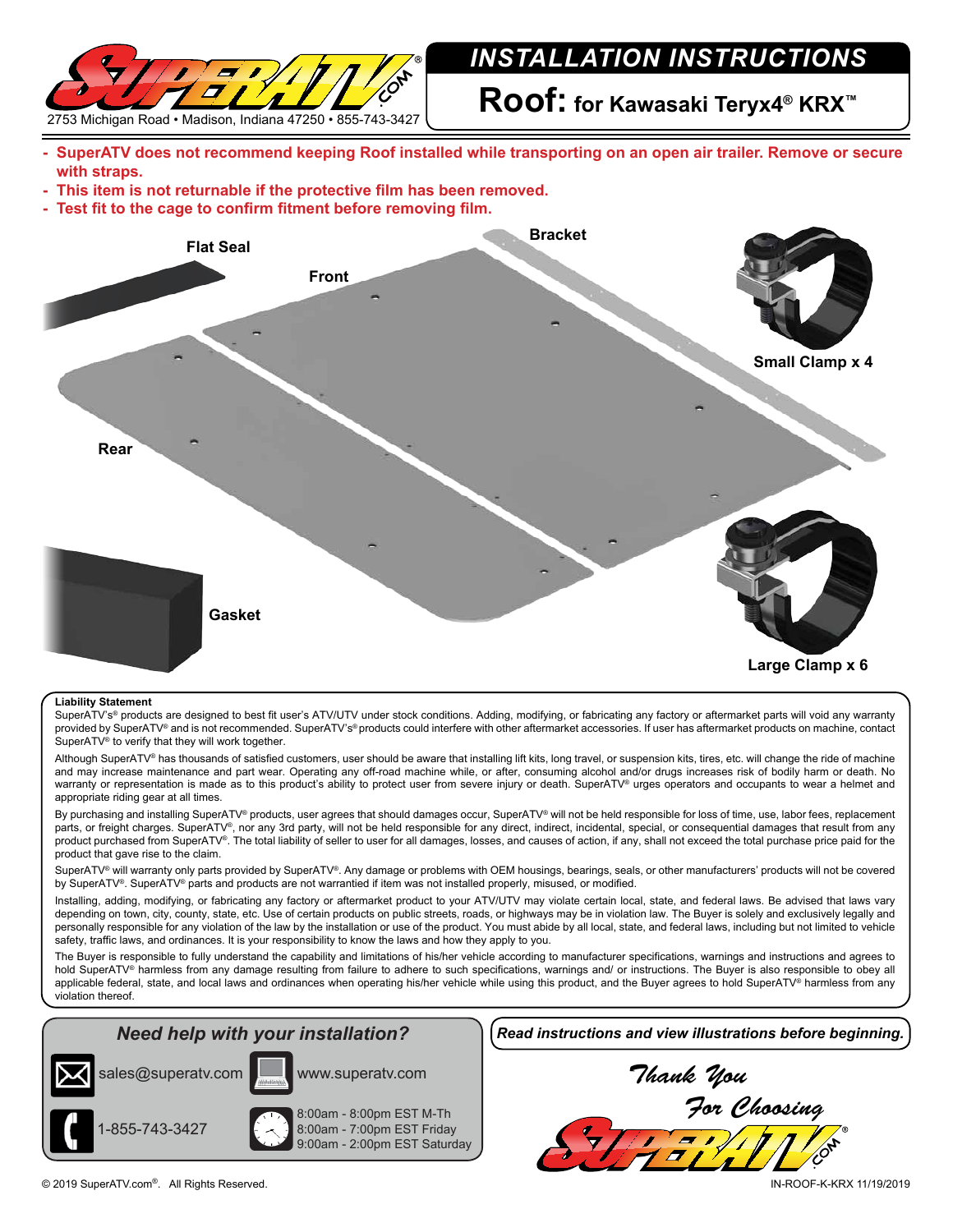

## *INSTALLATION INSTRUCTIONS*

**Roof: for Kawasaki Teryx4® KRX™**

- **- SuperATV does not recommend keeping Roof installed while transporting on an open air trailer. Remove or secure with straps.**
- **- This item is not returnable if the protective film has been removed.**
- **- Test fit to the cage to confirm fitment before removing film.**



#### **Liability Statement**

SuperATV's<sup>®</sup> products are designed to best fit user's ATV/UTV under stock conditions. Adding, modifying, or fabricating any factory or aftermarket parts will void any warranty provided by SuperATV® and is not recommended. SuperATV's® products could interfere with other aftermarket accessories. If user has aftermarket products on machine, contact SuperATV® to verify that they will work together.

Although SuperATV® has thousands of satisfied customers, user should be aware that installing lift kits, long travel, or suspension kits, tires, etc. will change the ride of machine and may increase maintenance and part wear. Operating any off-road machine while, or after, consuming alcohol and/or drugs increases risk of bodily harm or death. No warranty or representation is made as to this product's ability to protect user from severe injury or death. SuperATV® urges operators and occupants to wear a helmet and appropriate riding gear at all times.

By purchasing and installing SuperATV® products, user agrees that should damages occur, SuperATV® will not be held responsible for loss of time, use, labor fees, replacement parts, or freight charges. SuperATV®, nor any 3rd party, will not be held responsible for any direct, indirect, incidental, special, or consequential damages that result from any product purchased from SuperATV®. The total liability of seller to user for all damages, losses, and causes of action, if any, shall not exceed the total purchase price paid for the product that gave rise to the claim.

SuperATV® will warranty only parts provided by SuperATV®. Any damage or problems with OEM housings, bearings, seals, or other manufacturers' products will not be covered by SuperATV®. SuperATV® parts and products are not warrantied if item was not installed properly, misused, or modified.

Installing, adding, modifying, or fabricating any factory or aftermarket product to your ATV/UTV may violate certain local, state, and federal laws. Be advised that laws vary depending on town, city, county, state, etc. Use of certain products on public streets, roads, or highways may be in violation law. The Buyer is solely and exclusively legally and personally responsible for any violation of the law by the installation or use of the product. You must abide by all local, state, and federal laws, including but not limited to vehicle safety, traffic laws, and ordinances. It is your responsibility to know the laws and how they apply to you.

The Buyer is responsible to fully understand the capability and limitations of his/her vehicle according to manufacturer specifications, warnings and instructions and agrees to hold SuperATV® harmless from any damage resulting from failure to adhere to such specifications, warnings and/ or instructions. The Buyer is also responsible to obey all applicable federal, state, and local laws and ordinances when operating his/her vehicle while using this product, and the Buyer agrees to hold SuperATV® harmless from any violation thereof.

# sales@superatv.com



www.superatv.com



*Need help with your installation? Read instructions and view illustrations before beginning.*

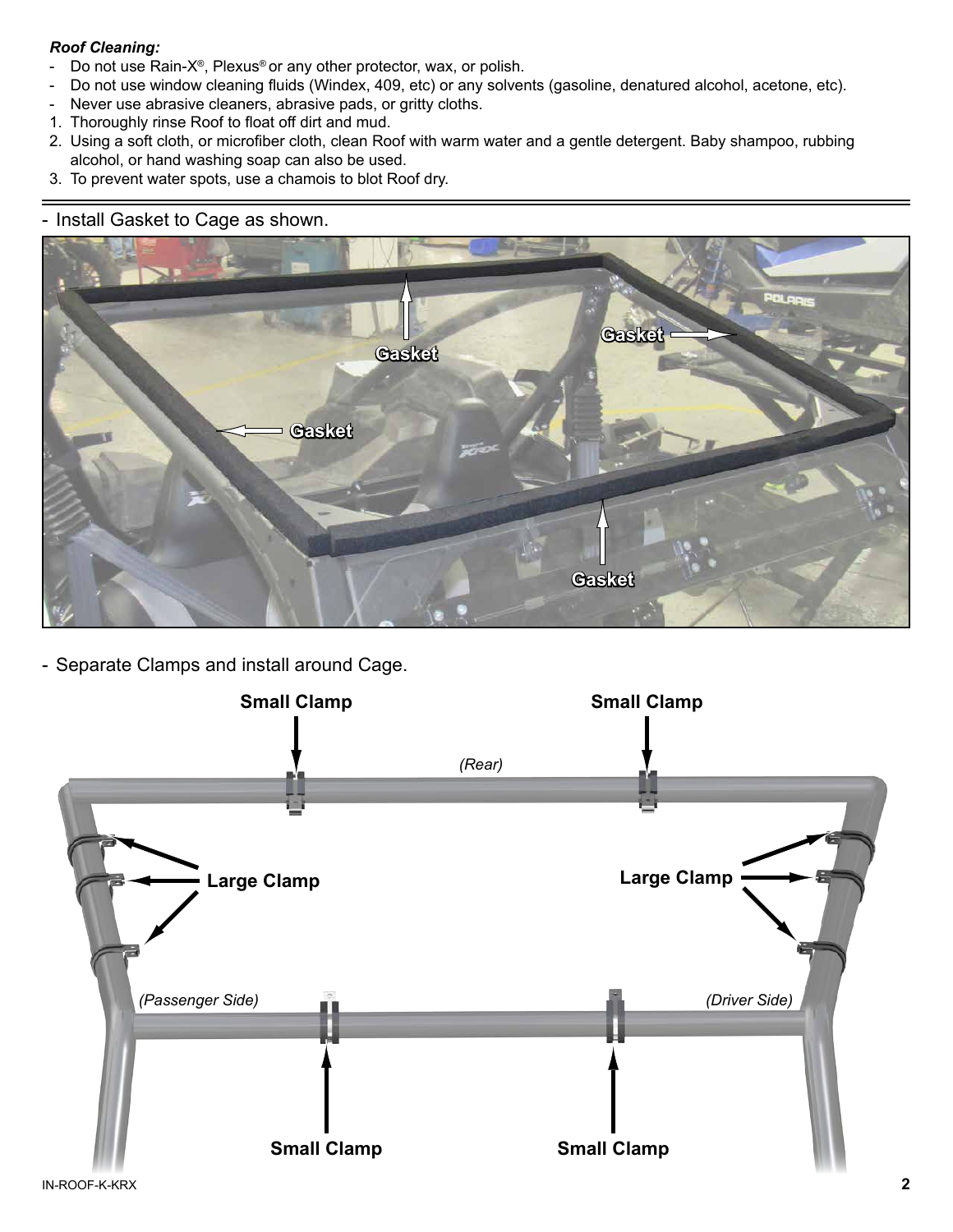### *Roof Cleaning:*

- Do not use Rain-X®, Plexus® or any other protector, wax, or polish.
- Do not use window cleaning fluids (Windex, 409, etc) or any solvents (gasoline, denatured alcohol, acetone, etc).
- Never use abrasive cleaners, abrasive pads, or gritty cloths.
- 1. Thoroughly rinse Roof to float off dirt and mud.
- 2. Using a soft cloth, or microfiber cloth, clean Roof with warm water and a gentle detergent. Baby shampoo, rubbing alcohol, or hand washing soap can also be used.
- 3. To prevent water spots, use a chamois to blot Roof dry.

### - Install Gasket to Cage as shown.



- Separate Clamps and install around Cage.

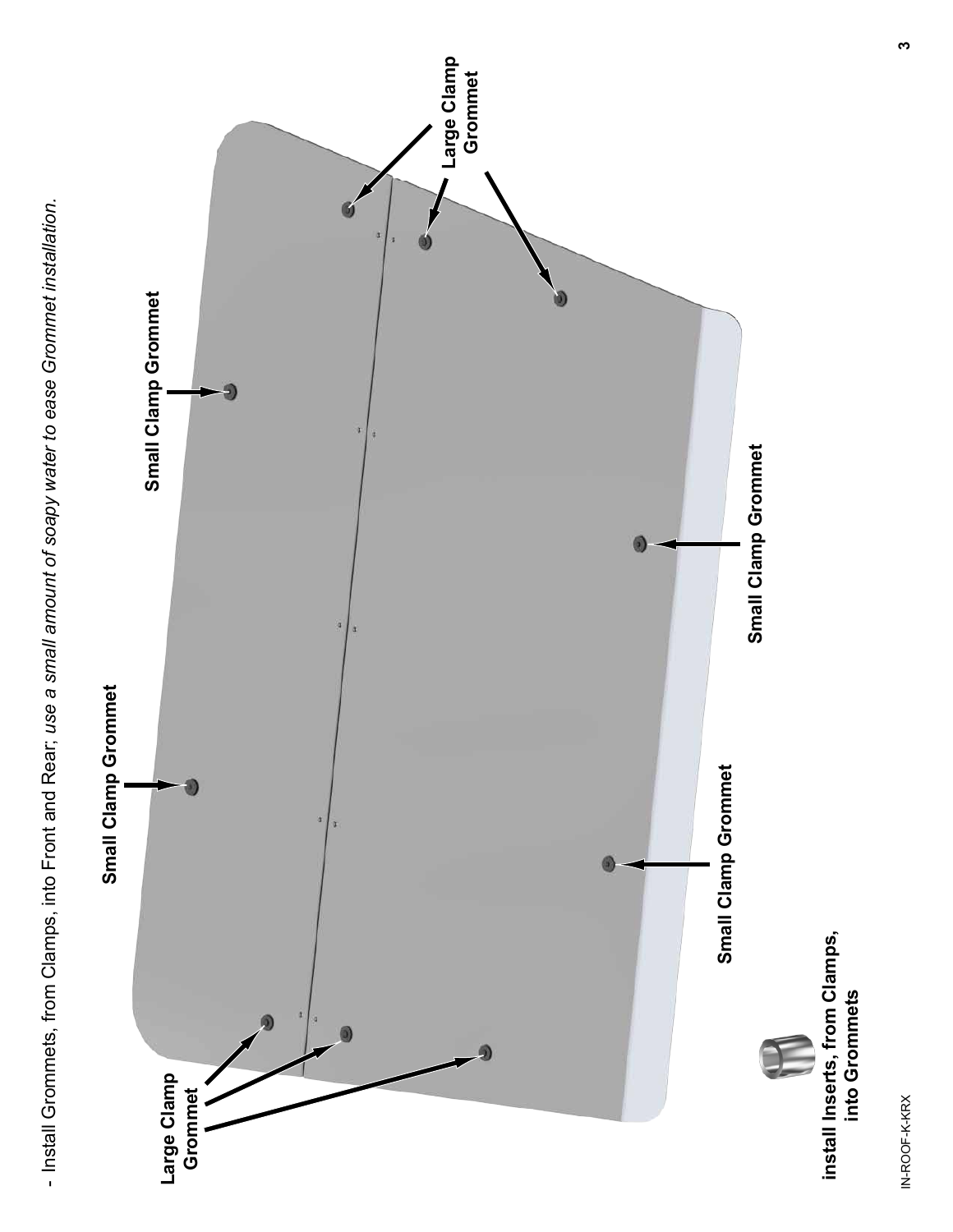- Install Grommets, from Clamps, into Front and Rear; *use a small amount of soapy water to ease Grommet installation.*

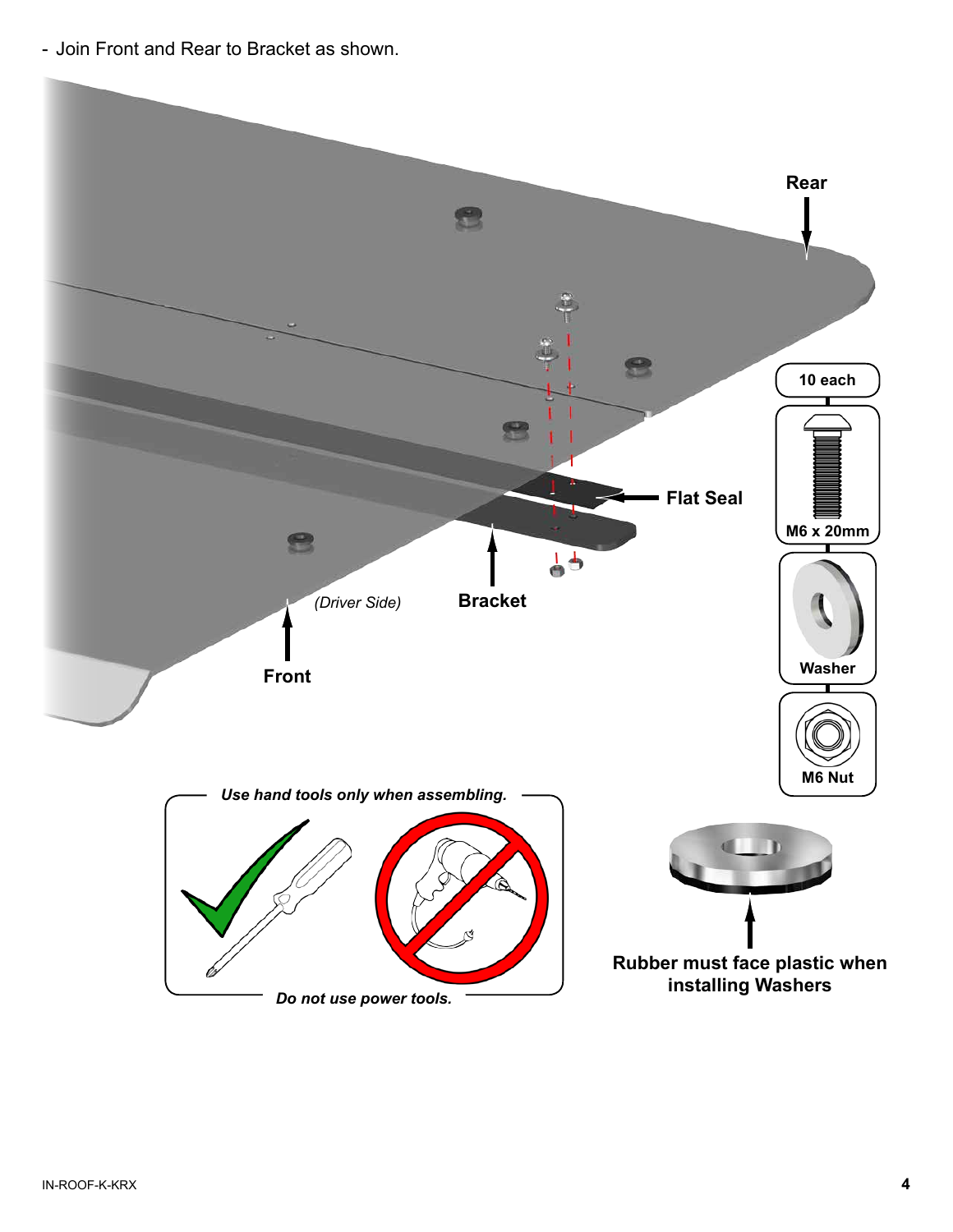- Join Front and Rear to Bracket as shown.